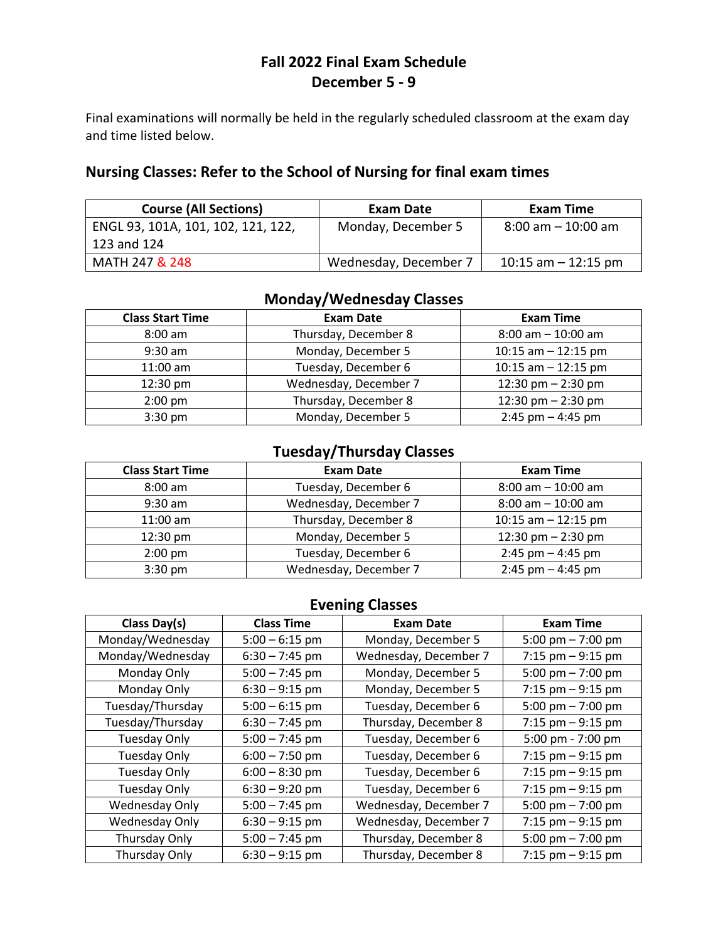# **Fall 2022 Final Exam Schedule December 5 - 9**

Final examinations will normally be held in the regularly scheduled classroom at the exam day and time listed below.

### **Nursing Classes: Refer to the School of Nursing for final exam times**

| <b>Course (All Sections)</b>       | Exam Date             | Exam Time             |
|------------------------------------|-----------------------|-----------------------|
| ENGL 93, 101A, 101, 102, 121, 122, | Monday, December 5    | $8:00$ am $-10:00$ am |
| 123 and 124                        |                       |                       |
| MATH 247 & 248                     | Wednesday, December 7 | 10:15 am $-$ 12:15 pm |

## **Monday/Wednesday Classes**

| <b>Class Start Time</b> | <b>Exam Date</b>      | <b>Exam Time</b>      |
|-------------------------|-----------------------|-----------------------|
| $8:00$ am               | Thursday, December 8  | $8:00$ am $-10:00$ am |
| $9:30$ am               | Monday, December 5    | 10:15 am $-$ 12:15 pm |
| $11:00$ am              | Tuesday, December 6   | 10:15 am $-$ 12:15 pm |
| 12:30 pm                | Wednesday, December 7 | 12:30 pm $-$ 2:30 pm  |
| $2:00$ pm               | Thursday, December 8  | 12:30 pm $-$ 2:30 pm  |
| $3:30$ pm               | Monday, December 5    | $2:45$ pm $-4:45$ pm  |

## **Tuesday/Thursday Classes**

| <b>Class Start Time</b> | <b>Exam Date</b>      | <b>Exam Time</b>      |
|-------------------------|-----------------------|-----------------------|
| $8:00$ am               | Tuesday, December 6   | $8:00$ am $-10:00$ am |
| $9:30$ am               | Wednesday, December 7 | $8:00$ am $-10:00$ am |
| $11:00$ am              | Thursday, December 8  | 10:15 am $-$ 12:15 pm |
| 12:30 pm                | Monday, December 5    | 12:30 pm $-$ 2:30 pm  |
| $2:00$ pm               | Tuesday, December 6   | $2:45$ pm $-4:45$ pm  |
| $3:30$ pm               | Wednesday, December 7 | $2:45$ pm $- 4:45$ pm |

### **Evening Classes**

| Class Day(s)        | <b>Class Time</b> | <b>Exam Date</b>      | <b>Exam Time</b>     |
|---------------------|-------------------|-----------------------|----------------------|
| Monday/Wednesday    | $5:00 - 6:15$ pm  | Monday, December 5    | 5:00 pm $- 7:00$ pm  |
| Monday/Wednesday    | $6:30 - 7:45$ pm  | Wednesday, December 7 | 7:15 pm $-9:15$ pm   |
| Monday Only         | $5:00 - 7:45$ pm  | Monday, December 5    | 5:00 pm $- 7:00$ pm  |
| Monday Only         | $6:30 - 9:15$ pm  | Monday, December 5    | 7:15 $pm - 9:15$ pm  |
| Tuesday/Thursday    | $5:00 - 6:15$ pm  | Tuesday, December 6   | 5:00 pm $- 7:00$ pm  |
| Tuesday/Thursday    | $6:30 - 7:45$ pm  | Thursday, December 8  | 7:15 pm $-9:15$ pm   |
| <b>Tuesday Only</b> | $5:00 - 7:45$ pm  | Tuesday, December 6   | 5:00 pm - 7:00 pm    |
| <b>Tuesday Only</b> | $6:00 - 7:50$ pm  | Tuesday, December 6   | 7:15 $pm - 9:15$ pm  |
| <b>Tuesday Only</b> | $6:00 - 8:30$ pm  | Tuesday, December 6   | $7:15$ pm $-9:15$ pm |
| <b>Tuesday Only</b> | $6:30 - 9:20$ pm  | Tuesday, December 6   | 7:15 $pm - 9:15$ pm  |
| Wednesday Only      | $5:00 - 7:45$ pm  | Wednesday, December 7 | 5:00 pm $- 7:00$ pm  |
| Wednesday Only      | $6:30 - 9:15$ pm  | Wednesday, December 7 | 7:15 pm $-9:15$ pm   |
| Thursday Only       | $5:00 - 7:45$ pm  | Thursday, December 8  | 5:00 pm $- 7:00$ pm  |
| Thursday Only       | $6:30 - 9:15$ pm  | Thursday, December 8  | 7:15 pm $-9:15$ pm   |